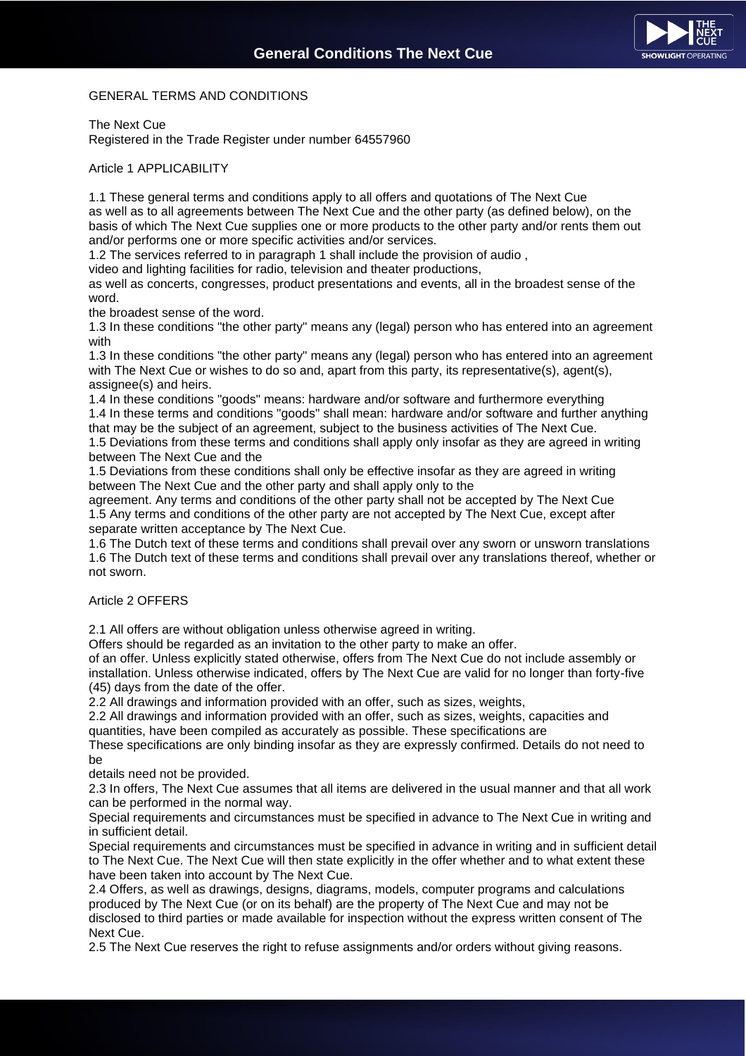# GENERAL TERMS AND CONDITIONS

The Next Cue

Registered in the Trade Register under number 64557960

Article 1 APPLICABILITY

1.1 These general terms and conditions apply to all offers and quotations of The Next Cue as well as to all agreements between The Next Cue and the other party (as defined below), on the basis of which The Next Cue supplies one or more products to the other party and/or rents them out and/or performs one or more specific activities and/or services.

1.2 The services referred to in paragraph 1 shall include the provision of audio ,

video and lighting facilities for radio, television and theater productions,

as well as concerts, congresses, product presentations and events, all in the broadest sense of the word.

the broadest sense of the word.

1.3 In these conditions "the other party" means any (legal) person who has entered into an agreement with

1.3 In these conditions "the other party" means any (legal) person who has entered into an agreement with The Next Cue or wishes to do so and, apart from this party, its representative(s), agent(s), assignee(s) and heirs.

1.4 In these conditions "goods" means: hardware and/or software and furthermore everything 1.4 In these terms and conditions "goods" shall mean: hardware and/or software and further anything that may be the subject of an agreement, subject to the business activities of The Next Cue.

1.5 Deviations from these terms and conditions shall apply only insofar as they are agreed in writing between The Next Cue and the

1.5 Deviations from these conditions shall only be effective insofar as they are agreed in writing between The Next Cue and the other party and shall apply only to the

agreement. Any terms and conditions of the other party shall not be accepted by The Next Cue 1.5 Any terms and conditions of the other party are not accepted by The Next Cue, except after separate written acceptance by The Next Cue.

1.6 The Dutch text of these terms and conditions shall prevail over any sworn or unsworn translations 1.6 The Dutch text of these terms and conditions shall prevail over any translations thereof, whether or not sworn.

Article 2 OFFERS

2.1 All offers are without obligation unless otherwise agreed in writing.

Offers should be regarded as an invitation to the other party to make an offer.

of an offer. Unless explicitly stated otherwise, offers from The Next Cue do not include assembly or installation. Unless otherwise indicated, offers by The Next Cue are valid for no longer than forty-five (45) days from the date of the offer.

2.2 All drawings and information provided with an offer, such as sizes, weights,

2.2 All drawings and information provided with an offer, such as sizes, weights, capacities and quantities, have been compiled as accurately as possible. These specifications are

These specifications are only binding insofar as they are expressly confirmed. Details do not need to be

details need not be provided.

2.3 In offers, The Next Cue assumes that all items are delivered in the usual manner and that all work can be performed in the normal way.

Special requirements and circumstances must be specified in advance to The Next Cue in writing and in sufficient detail.

Special requirements and circumstances must be specified in advance in writing and in sufficient detail to The Next Cue. The Next Cue will then state explicitly in the offer whether and to what extent these have been taken into account by The Next Cue.

2.4 Offers, as well as drawings, designs, diagrams, models, computer programs and calculations produced by The Next Cue (or on its behalf) are the property of The Next Cue and may not be disclosed to third parties or made available for inspection without the express written consent of The Next Cue.

2.5 The Next Cue reserves the right to refuse assignments and/or orders without giving reasons.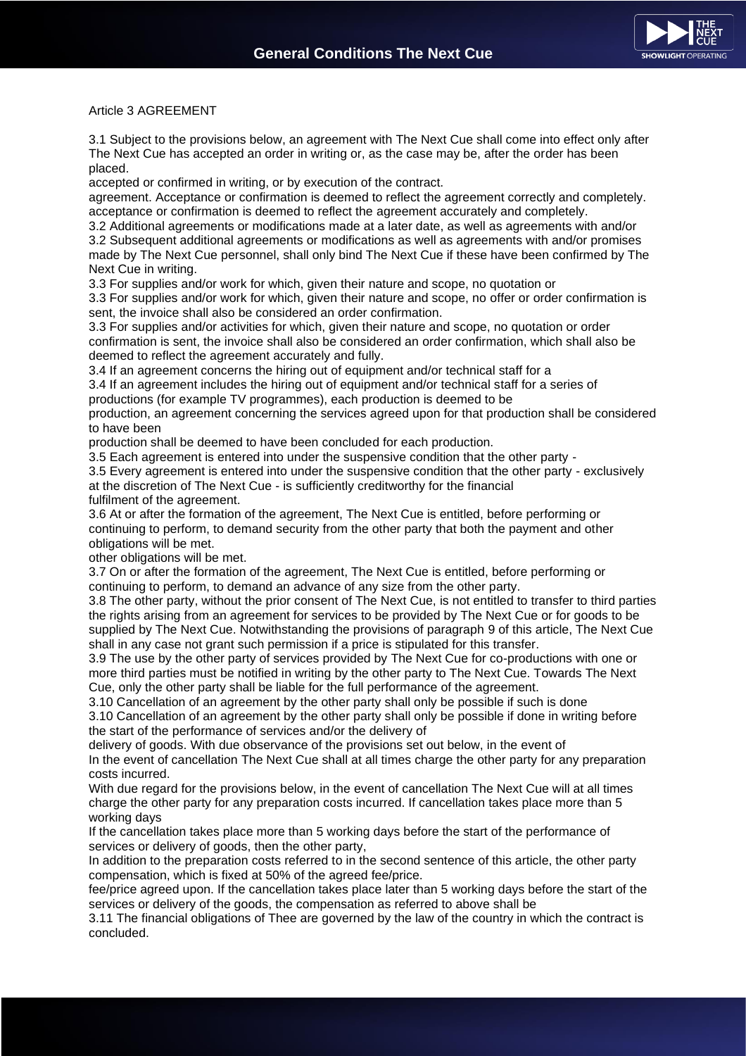

Article 3 AGREEMENT

3.1 Subject to the provisions below, an agreement with The Next Cue shall come into effect only after The Next Cue has accepted an order in writing or, as the case may be, after the order has been placed.

accepted or confirmed in writing, or by execution of the contract.

agreement. Acceptance or confirmation is deemed to reflect the agreement correctly and completely. acceptance or confirmation is deemed to reflect the agreement accurately and completely.

3.2 Additional agreements or modifications made at a later date, as well as agreements with and/or 3.2 Subsequent additional agreements or modifications as well as agreements with and/or promises made by The Next Cue personnel, shall only bind The Next Cue if these have been confirmed by The Next Cue in writing.

3.3 For supplies and/or work for which, given their nature and scope, no quotation or

3.3 For supplies and/or work for which, given their nature and scope, no offer or order confirmation is sent, the invoice shall also be considered an order confirmation.

3.3 For supplies and/or activities for which, given their nature and scope, no quotation or order confirmation is sent, the invoice shall also be considered an order confirmation, which shall also be deemed to reflect the agreement accurately and fully.

3.4 If an agreement concerns the hiring out of equipment and/or technical staff for a

3.4 If an agreement includes the hiring out of equipment and/or technical staff for a series of productions (for example TV programmes), each production is deemed to be

production, an agreement concerning the services agreed upon for that production shall be considered to have been

production shall be deemed to have been concluded for each production.

3.5 Each agreement is entered into under the suspensive condition that the other party -

3.5 Every agreement is entered into under the suspensive condition that the other party - exclusively at the discretion of The Next Cue - is sufficiently creditworthy for the financial

fulfilment of the agreement.

3.6 At or after the formation of the agreement, The Next Cue is entitled, before performing or continuing to perform, to demand security from the other party that both the payment and other obligations will be met.

other obligations will be met.

3.7 On or after the formation of the agreement, The Next Cue is entitled, before performing or continuing to perform, to demand an advance of any size from the other party.

3.8 The other party, without the prior consent of The Next Cue, is not entitled to transfer to third parties the rights arising from an agreement for services to be provided by The Next Cue or for goods to be supplied by The Next Cue. Notwithstanding the provisions of paragraph 9 of this article, The Next Cue shall in any case not grant such permission if a price is stipulated for this transfer.

3.9 The use by the other party of services provided by The Next Cue for co-productions with one or more third parties must be notified in writing by the other party to The Next Cue. Towards The Next Cue, only the other party shall be liable for the full performance of the agreement.

3.10 Cancellation of an agreement by the other party shall only be possible if such is done

3.10 Cancellation of an agreement by the other party shall only be possible if done in writing before the start of the performance of services and/or the delivery of

delivery of goods. With due observance of the provisions set out below, in the event of In the event of cancellation The Next Cue shall at all times charge the other party for any preparation costs incurred.

With due regard for the provisions below, in the event of cancellation The Next Cue will at all times charge the other party for any preparation costs incurred. If cancellation takes place more than 5 working days

If the cancellation takes place more than 5 working days before the start of the performance of services or delivery of goods, then the other party,

In addition to the preparation costs referred to in the second sentence of this article, the other party compensation, which is fixed at 50% of the agreed fee/price.

fee/price agreed upon. If the cancellation takes place later than 5 working days before the start of the services or delivery of the goods, the compensation as referred to above shall be

3.11 The financial obligations of Thee are governed by the law of the country in which the contract is concluded.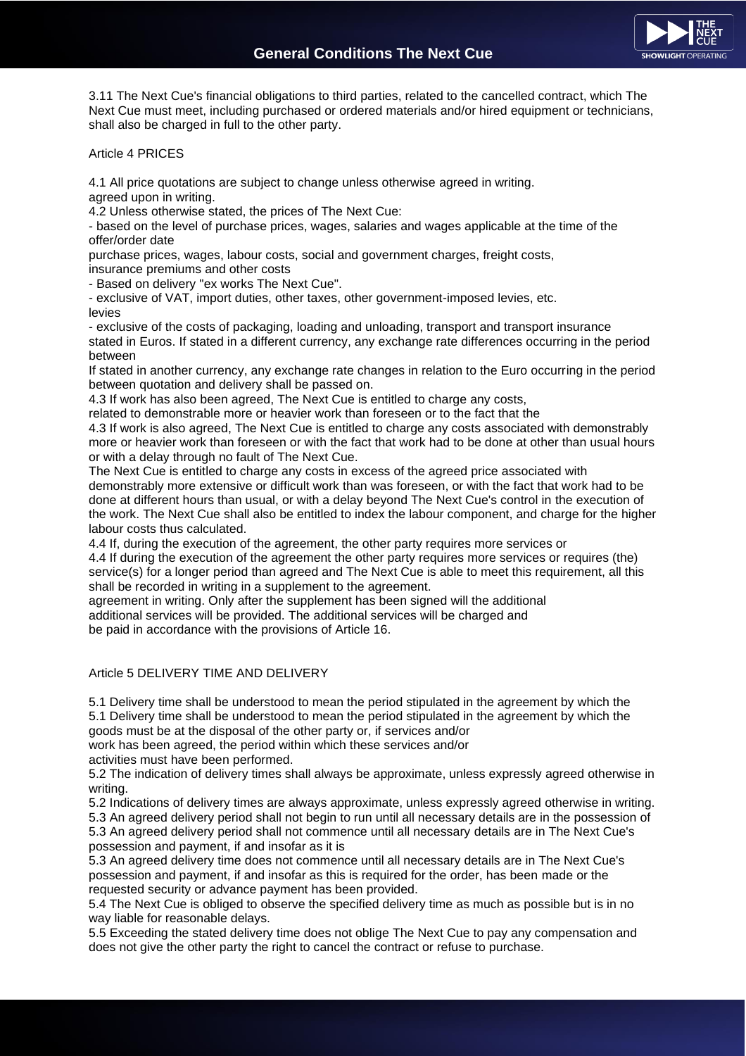

3.11 The Next Cue's financial obligations to third parties, related to the cancelled contract, which The Next Cue must meet, including purchased or ordered materials and/or hired equipment or technicians, shall also be charged in full to the other party.

# Article 4 PRICES

4.1 All price quotations are subject to change unless otherwise agreed in writing. agreed upon in writing.

4.2 Unless otherwise stated, the prices of The Next Cue:

- based on the level of purchase prices, wages, salaries and wages applicable at the time of the offer/order date

purchase prices, wages, labour costs, social and government charges, freight costs,

insurance premiums and other costs

- Based on delivery "ex works The Next Cue".

- exclusive of VAT, import duties, other taxes, other government-imposed levies, etc. levies

- exclusive of the costs of packaging, loading and unloading, transport and transport insurance stated in Euros. If stated in a different currency, any exchange rate differences occurring in the period between

If stated in another currency, any exchange rate changes in relation to the Euro occurring in the period between quotation and delivery shall be passed on.

4.3 If work has also been agreed, The Next Cue is entitled to charge any costs,

related to demonstrable more or heavier work than foreseen or to the fact that the

4.3 If work is also agreed, The Next Cue is entitled to charge any costs associated with demonstrably more or heavier work than foreseen or with the fact that work had to be done at other than usual hours or with a delay through no fault of The Next Cue.

The Next Cue is entitled to charge any costs in excess of the agreed price associated with demonstrably more extensive or difficult work than was foreseen, or with the fact that work had to be done at different hours than usual, or with a delay beyond The Next Cue's control in the execution of the work. The Next Cue shall also be entitled to index the labour component, and charge for the higher labour costs thus calculated.

4.4 If, during the execution of the agreement, the other party requires more services or 4.4 If during the execution of the agreement the other party requires more services or requires (the) service(s) for a longer period than agreed and The Next Cue is able to meet this requirement, all this shall be recorded in writing in a supplement to the agreement.

agreement in writing. Only after the supplement has been signed will the additional additional services will be provided. The additional services will be charged and be paid in accordance with the provisions of Article 16.

# Article 5 DELIVERY TIME AND DELIVERY

5.1 Delivery time shall be understood to mean the period stipulated in the agreement by which the 5.1 Delivery time shall be understood to mean the period stipulated in the agreement by which the goods must be at the disposal of the other party or, if services and/or work has been agreed, the period within which these services and/or

activities must have been performed.

5.2 The indication of delivery times shall always be approximate, unless expressly agreed otherwise in writing.

5.2 Indications of delivery times are always approximate, unless expressly agreed otherwise in writing. 5.3 An agreed delivery period shall not begin to run until all necessary details are in the possession of 5.3 An agreed delivery period shall not commence until all necessary details are in The Next Cue's possession and payment, if and insofar as it is

5.3 An agreed delivery time does not commence until all necessary details are in The Next Cue's possession and payment, if and insofar as this is required for the order, has been made or the requested security or advance payment has been provided.

5.4 The Next Cue is obliged to observe the specified delivery time as much as possible but is in no way liable for reasonable delays.

5.5 Exceeding the stated delivery time does not oblige The Next Cue to pay any compensation and does not give the other party the right to cancel the contract or refuse to purchase.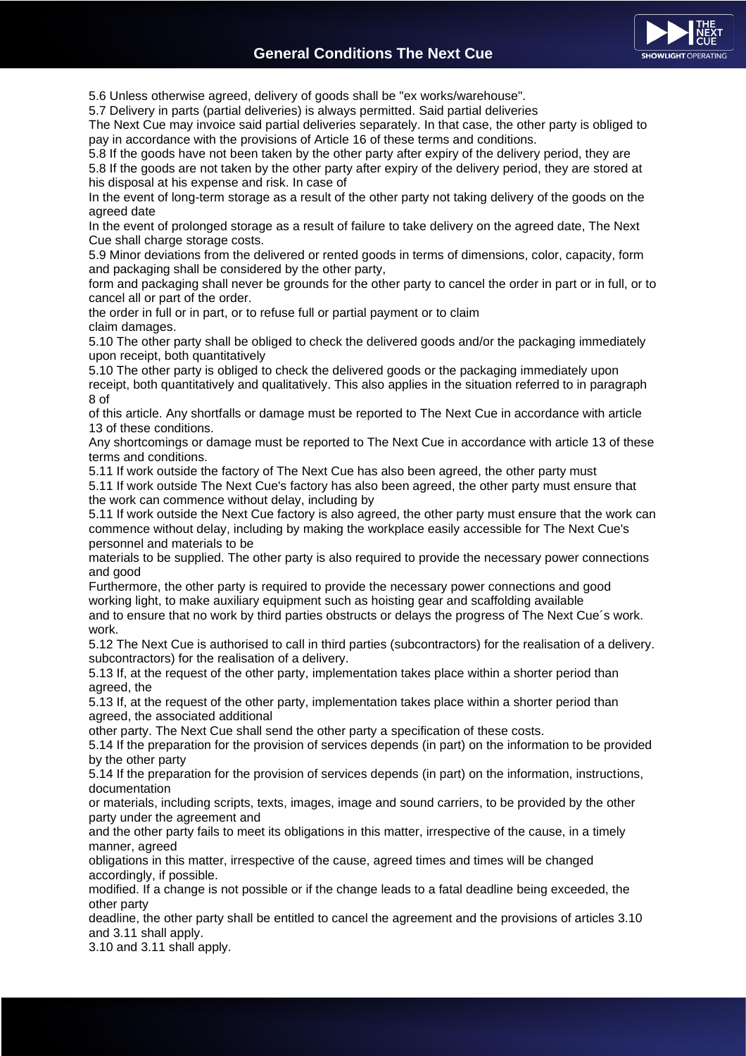

5.6 Unless otherwise agreed, delivery of goods shall be "ex works/warehouse".

5.7 Delivery in parts (partial deliveries) is always permitted. Said partial deliveries

The Next Cue may invoice said partial deliveries separately. In that case, the other party is obliged to pay in accordance with the provisions of Article 16 of these terms and conditions.

5.8 If the goods have not been taken by the other party after expiry of the delivery period, they are 5.8 If the goods are not taken by the other party after expiry of the delivery period, they are stored at his disposal at his expense and risk. In case of

In the event of long-term storage as a result of the other party not taking delivery of the goods on the agreed date

In the event of prolonged storage as a result of failure to take delivery on the agreed date, The Next Cue shall charge storage costs.

5.9 Minor deviations from the delivered or rented goods in terms of dimensions, color, capacity, form and packaging shall be considered by the other party,

form and packaging shall never be grounds for the other party to cancel the order in part or in full, or to cancel all or part of the order.

the order in full or in part, or to refuse full or partial payment or to claim claim damages.

5.10 The other party shall be obliged to check the delivered goods and/or the packaging immediately upon receipt, both quantitatively

5.10 The other party is obliged to check the delivered goods or the packaging immediately upon receipt, both quantitatively and qualitatively. This also applies in the situation referred to in paragraph 8 of

of this article. Any shortfalls or damage must be reported to The Next Cue in accordance with article 13 of these conditions.

Any shortcomings or damage must be reported to The Next Cue in accordance with article 13 of these terms and conditions.

5.11 If work outside the factory of The Next Cue has also been agreed, the other party must 5.11 If work outside The Next Cue's factory has also been agreed, the other party must ensure that the work can commence without delay, including by

5.11 If work outside the Next Cue factory is also agreed, the other party must ensure that the work can commence without delay, including by making the workplace easily accessible for The Next Cue's personnel and materials to be

materials to be supplied. The other party is also required to provide the necessary power connections and good

Furthermore, the other party is required to provide the necessary power connections and good working light, to make auxiliary equipment such as hoisting gear and scaffolding available

and to ensure that no work by third parties obstructs or delays the progress of The Next Cue´s work. work.

5.12 The Next Cue is authorised to call in third parties (subcontractors) for the realisation of a delivery. subcontractors) for the realisation of a delivery.

5.13 If, at the request of the other party, implementation takes place within a shorter period than agreed, the

5.13 If, at the request of the other party, implementation takes place within a shorter period than agreed, the associated additional

other party. The Next Cue shall send the other party a specification of these costs.

5.14 If the preparation for the provision of services depends (in part) on the information to be provided by the other party

5.14 If the preparation for the provision of services depends (in part) on the information, instructions, documentation

or materials, including scripts, texts, images, image and sound carriers, to be provided by the other party under the agreement and

and the other party fails to meet its obligations in this matter, irrespective of the cause, in a timely manner, agreed

obligations in this matter, irrespective of the cause, agreed times and times will be changed accordingly, if possible.

modified. If a change is not possible or if the change leads to a fatal deadline being exceeded, the other party

deadline, the other party shall be entitled to cancel the agreement and the provisions of articles 3.10 and 3.11 shall apply.

3.10 and 3.11 shall apply.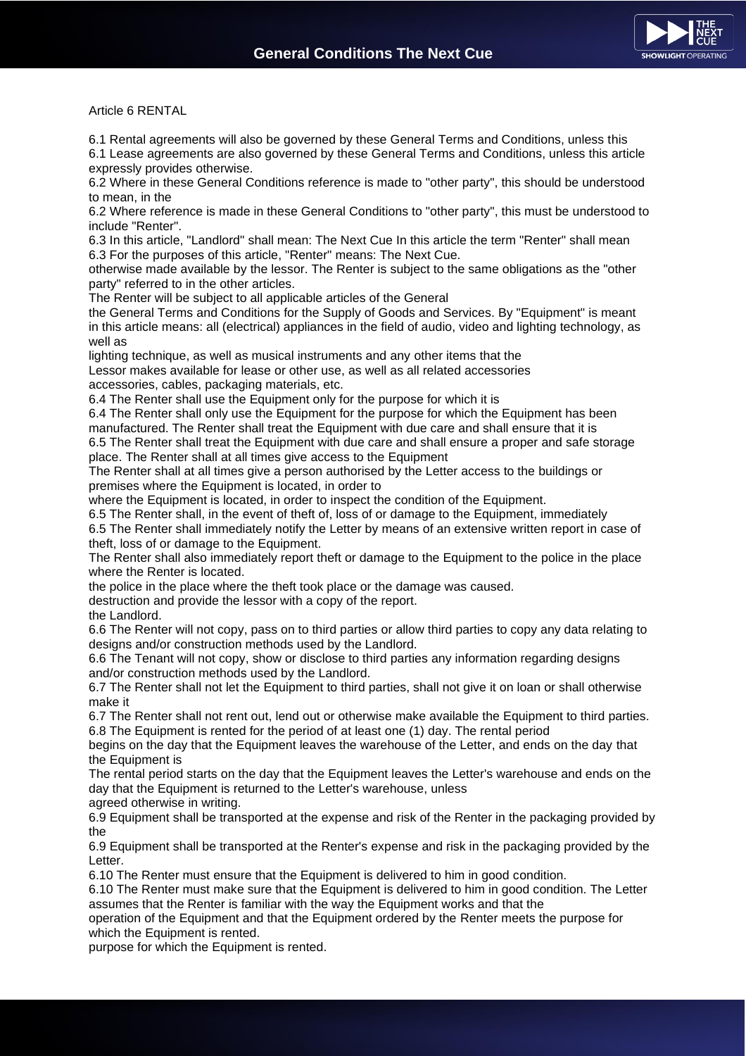

Article 6 RENTAL

6.1 Rental agreements will also be governed by these General Terms and Conditions, unless this

6.1 Lease agreements are also governed by these General Terms and Conditions, unless this article expressly provides otherwise.

6.2 Where in these General Conditions reference is made to "other party", this should be understood to mean, in the

6.2 Where reference is made in these General Conditions to "other party", this must be understood to include "Renter".

6.3 In this article, "Landlord" shall mean: The Next Cue In this article the term "Renter" shall mean 6.3 For the purposes of this article, "Renter" means: The Next Cue.

otherwise made available by the lessor. The Renter is subject to the same obligations as the "other party" referred to in the other articles.

The Renter will be subject to all applicable articles of the General

the General Terms and Conditions for the Supply of Goods and Services. By "Equipment" is meant in this article means: all (electrical) appliances in the field of audio, video and lighting technology, as well as

lighting technique, as well as musical instruments and any other items that the Lessor makes available for lease or other use, as well as all related accessories accessories, cables, packaging materials, etc.

6.4 The Renter shall use the Equipment only for the purpose for which it is

6.4 The Renter shall only use the Equipment for the purpose for which the Equipment has been manufactured. The Renter shall treat the Equipment with due care and shall ensure that it is 6.5 The Renter shall treat the Equipment with due care and shall ensure a proper and safe storage place. The Renter shall at all times give access to the Equipment

The Renter shall at all times give a person authorised by the Letter access to the buildings or premises where the Equipment is located, in order to

where the Equipment is located, in order to inspect the condition of the Equipment.

6.5 The Renter shall, in the event of theft of, loss of or damage to the Equipment, immediately

6.5 The Renter shall immediately notify the Letter by means of an extensive written report in case of theft, loss of or damage to the Equipment.

The Renter shall also immediately report theft or damage to the Equipment to the police in the place where the Renter is located.

the police in the place where the theft took place or the damage was caused.

destruction and provide the lessor with a copy of the report.

the Landlord.

6.6 The Renter will not copy, pass on to third parties or allow third parties to copy any data relating to designs and/or construction methods used by the Landlord.

6.6 The Tenant will not copy, show or disclose to third parties any information regarding designs and/or construction methods used by the Landlord.

6.7 The Renter shall not let the Equipment to third parties, shall not give it on loan or shall otherwise make it

6.7 The Renter shall not rent out, lend out or otherwise make available the Equipment to third parties. 6.8 The Equipment is rented for the period of at least one (1) day. The rental period

begins on the day that the Equipment leaves the warehouse of the Letter, and ends on the day that the Equipment is

The rental period starts on the day that the Equipment leaves the Letter's warehouse and ends on the day that the Equipment is returned to the Letter's warehouse, unless

agreed otherwise in writing.

6.9 Equipment shall be transported at the expense and risk of the Renter in the packaging provided by the

6.9 Equipment shall be transported at the Renter's expense and risk in the packaging provided by the Letter.

6.10 The Renter must ensure that the Equipment is delivered to him in good condition.

6.10 The Renter must make sure that the Equipment is delivered to him in good condition. The Letter assumes that the Renter is familiar with the way the Equipment works and that the

operation of the Equipment and that the Equipment ordered by the Renter meets the purpose for which the Equipment is rented.

purpose for which the Equipment is rented.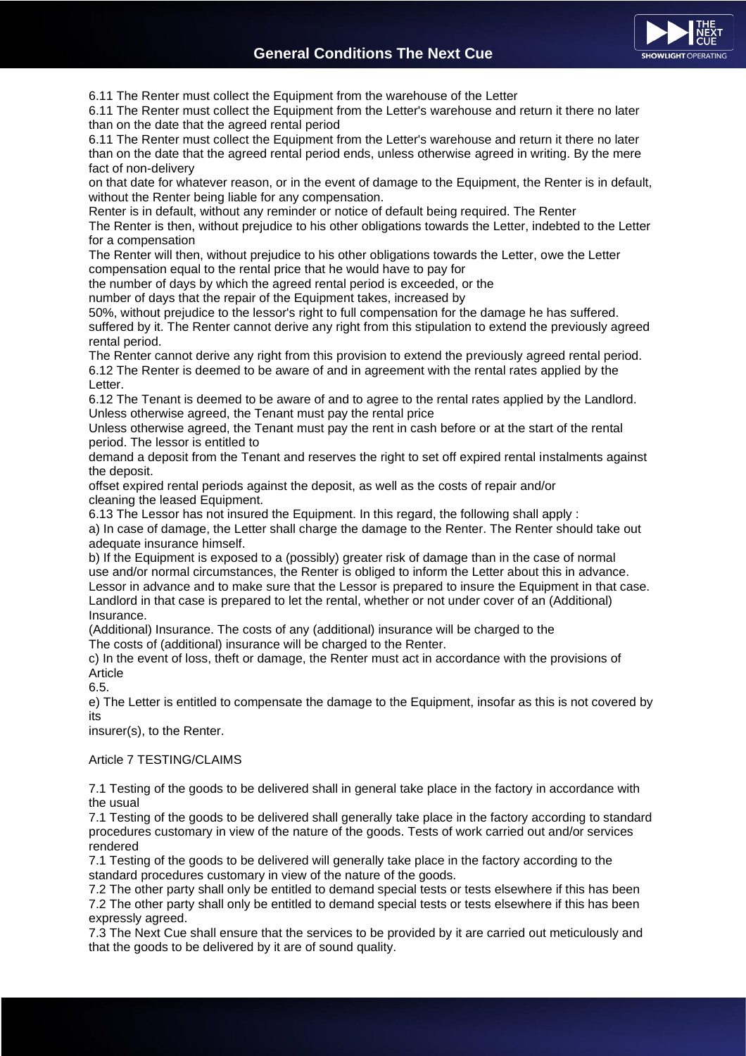

6.11 The Renter must collect the Equipment from the warehouse of the Letter

6.11 The Renter must collect the Equipment from the Letter's warehouse and return it there no later than on the date that the agreed rental period

6.11 The Renter must collect the Equipment from the Letter's warehouse and return it there no later than on the date that the agreed rental period ends, unless otherwise agreed in writing. By the mere fact of non-delivery

on that date for whatever reason, or in the event of damage to the Equipment, the Renter is in default, without the Renter being liable for any compensation.

Renter is in default, without any reminder or notice of default being required. The Renter

The Renter is then, without prejudice to his other obligations towards the Letter, indebted to the Letter for a compensation

The Renter will then, without prejudice to his other obligations towards the Letter, owe the Letter compensation equal to the rental price that he would have to pay for

the number of days by which the agreed rental period is exceeded, or the

number of days that the repair of the Equipment takes, increased by

50%, without prejudice to the lessor's right to full compensation for the damage he has suffered. suffered by it. The Renter cannot derive any right from this stipulation to extend the previously agreed rental period.

The Renter cannot derive any right from this provision to extend the previously agreed rental period. 6.12 The Renter is deemed to be aware of and in agreement with the rental rates applied by the Letter.

6.12 The Tenant is deemed to be aware of and to agree to the rental rates applied by the Landlord. Unless otherwise agreed, the Tenant must pay the rental price

Unless otherwise agreed, the Tenant must pay the rent in cash before or at the start of the rental period. The lessor is entitled to

demand a deposit from the Tenant and reserves the right to set off expired rental instalments against the deposit.

offset expired rental periods against the deposit, as well as the costs of repair and/or cleaning the leased Equipment.

6.13 The Lessor has not insured the Equipment. In this regard, the following shall apply :

a) In case of damage, the Letter shall charge the damage to the Renter. The Renter should take out adequate insurance himself.

b) If the Equipment is exposed to a (possibly) greater risk of damage than in the case of normal use and/or normal circumstances, the Renter is obliged to inform the Letter about this in advance. Lessor in advance and to make sure that the Lessor is prepared to insure the Equipment in that case. Landlord in that case is prepared to let the rental, whether or not under cover of an (Additional) Insurance.

(Additional) Insurance. The costs of any (additional) insurance will be charged to the The costs of (additional) insurance will be charged to the Renter.

c) In the event of loss, theft or damage, the Renter must act in accordance with the provisions of Article

6.5.

e) The Letter is entitled to compensate the damage to the Equipment, insofar as this is not covered by its

insurer(s), to the Renter.

Article 7 TESTING/CLAIMS

7.1 Testing of the goods to be delivered shall in general take place in the factory in accordance with the usual

7.1 Testing of the goods to be delivered shall generally take place in the factory according to standard procedures customary in view of the nature of the goods. Tests of work carried out and/or services rendered

7.1 Testing of the goods to be delivered will generally take place in the factory according to the standard procedures customary in view of the nature of the goods.

7.2 The other party shall only be entitled to demand special tests or tests elsewhere if this has been 7.2 The other party shall only be entitled to demand special tests or tests elsewhere if this has been expressly agreed.

7.3 The Next Cue shall ensure that the services to be provided by it are carried out meticulously and that the goods to be delivered by it are of sound quality.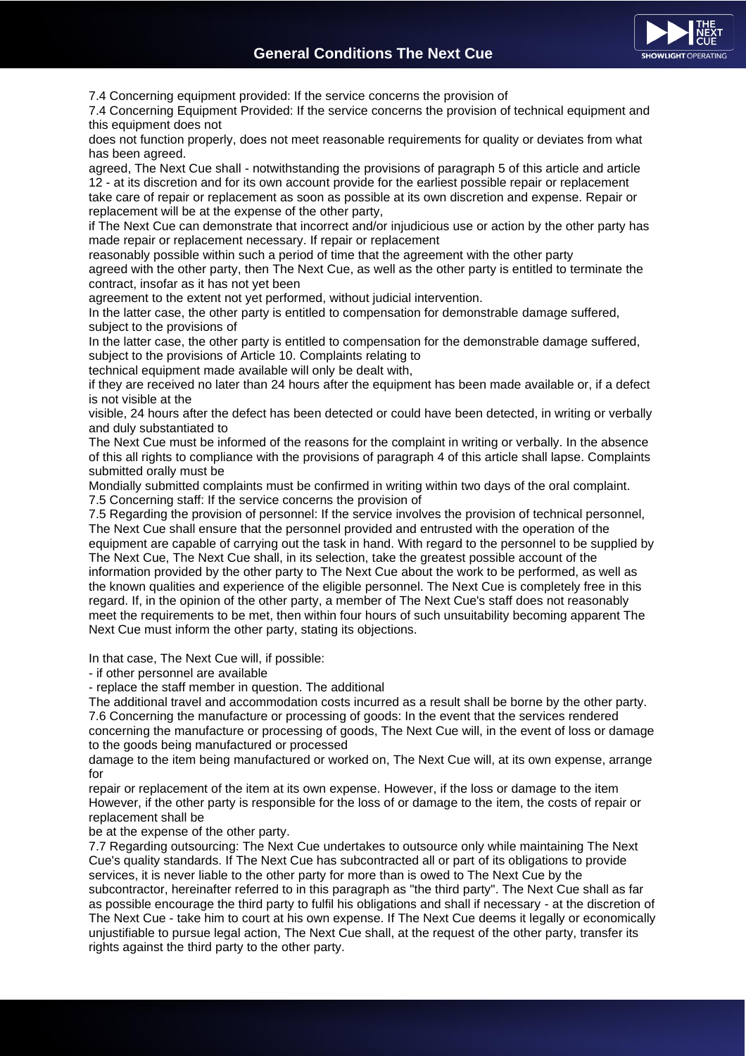

7.4 Concerning equipment provided: If the service concerns the provision of

7.4 Concerning Equipment Provided: If the service concerns the provision of technical equipment and this equipment does not

does not function properly, does not meet reasonable requirements for quality or deviates from what has been agreed.

agreed, The Next Cue shall - notwithstanding the provisions of paragraph 5 of this article and article 12 - at its discretion and for its own account provide for the earliest possible repair or replacement take care of repair or replacement as soon as possible at its own discretion and expense. Repair or replacement will be at the expense of the other party,

if The Next Cue can demonstrate that incorrect and/or injudicious use or action by the other party has made repair or replacement necessary. If repair or replacement

reasonably possible within such a period of time that the agreement with the other party

agreed with the other party, then The Next Cue, as well as the other party is entitled to terminate the contract, insofar as it has not yet been

agreement to the extent not yet performed, without judicial intervention.

In the latter case, the other party is entitled to compensation for demonstrable damage suffered, subject to the provisions of

In the latter case, the other party is entitled to compensation for the demonstrable damage suffered, subject to the provisions of Article 10. Complaints relating to

technical equipment made available will only be dealt with,

if they are received no later than 24 hours after the equipment has been made available or, if a defect is not visible at the

visible, 24 hours after the defect has been detected or could have been detected, in writing or verbally and duly substantiated to

The Next Cue must be informed of the reasons for the complaint in writing or verbally. In the absence of this all rights to compliance with the provisions of paragraph 4 of this article shall lapse. Complaints submitted orally must be

Mondially submitted complaints must be confirmed in writing within two days of the oral complaint. 7.5 Concerning staff: If the service concerns the provision of

7.5 Regarding the provision of personnel: If the service involves the provision of technical personnel, The Next Cue shall ensure that the personnel provided and entrusted with the operation of the equipment are capable of carrying out the task in hand. With regard to the personnel to be supplied by The Next Cue, The Next Cue shall, in its selection, take the greatest possible account of the information provided by the other party to The Next Cue about the work to be performed, as well as the known qualities and experience of the eligible personnel. The Next Cue is completely free in this regard. If, in the opinion of the other party, a member of The Next Cue's staff does not reasonably meet the requirements to be met, then within four hours of such unsuitability becoming apparent The Next Cue must inform the other party, stating its objections.

In that case, The Next Cue will, if possible:

- if other personnel are available

- replace the staff member in question. The additional

The additional travel and accommodation costs incurred as a result shall be borne by the other party. 7.6 Concerning the manufacture or processing of goods: In the event that the services rendered concerning the manufacture or processing of goods, The Next Cue will, in the event of loss or damage to the goods being manufactured or processed

damage to the item being manufactured or worked on, The Next Cue will, at its own expense, arrange for

repair or replacement of the item at its own expense. However, if the loss or damage to the item However, if the other party is responsible for the loss of or damage to the item, the costs of repair or replacement shall be

be at the expense of the other party.

7.7 Regarding outsourcing: The Next Cue undertakes to outsource only while maintaining The Next Cue's quality standards. If The Next Cue has subcontracted all or part of its obligations to provide services, it is never liable to the other party for more than is owed to The Next Cue by the subcontractor, hereinafter referred to in this paragraph as "the third party". The Next Cue shall as far as possible encourage the third party to fulfil his obligations and shall if necessary - at the discretion of The Next Cue - take him to court at his own expense. If The Next Cue deems it legally or economically unjustifiable to pursue legal action, The Next Cue shall, at the request of the other party, transfer its rights against the third party to the other party.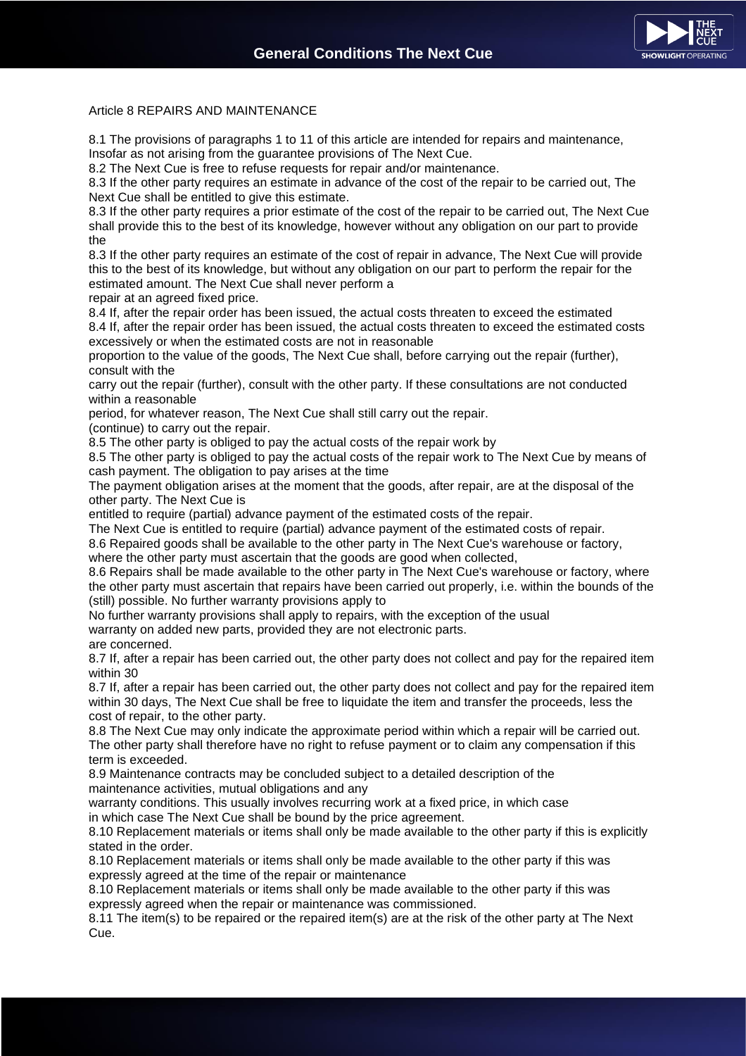

# Article 8 REPAIRS AND MAINTENANCE

8.1 The provisions of paragraphs 1 to 11 of this article are intended for repairs and maintenance, Insofar as not arising from the guarantee provisions of The Next Cue.

8.2 The Next Cue is free to refuse requests for repair and/or maintenance.

8.3 If the other party requires an estimate in advance of the cost of the repair to be carried out, The Next Cue shall be entitled to give this estimate.

8.3 If the other party requires a prior estimate of the cost of the repair to be carried out, The Next Cue shall provide this to the best of its knowledge, however without any obligation on our part to provide the

8.3 If the other party requires an estimate of the cost of repair in advance, The Next Cue will provide this to the best of its knowledge, but without any obligation on our part to perform the repair for the estimated amount. The Next Cue shall never perform a

repair at an agreed fixed price.

8.4 If, after the repair order has been issued, the actual costs threaten to exceed the estimated 8.4 If, after the repair order has been issued, the actual costs threaten to exceed the estimated costs excessively or when the estimated costs are not in reasonable

proportion to the value of the goods, The Next Cue shall, before carrying out the repair (further), consult with the

carry out the repair (further), consult with the other party. If these consultations are not conducted within a reasonable

period, for whatever reason, The Next Cue shall still carry out the repair.

(continue) to carry out the repair.

8.5 The other party is obliged to pay the actual costs of the repair work by

8.5 The other party is obliged to pay the actual costs of the repair work to The Next Cue by means of cash payment. The obligation to pay arises at the time

The payment obligation arises at the moment that the goods, after repair, are at the disposal of the other party. The Next Cue is

entitled to require (partial) advance payment of the estimated costs of the repair.

The Next Cue is entitled to require (partial) advance payment of the estimated costs of repair. 8.6 Repaired goods shall be available to the other party in The Next Cue's warehouse or factory,

where the other party must ascertain that the goods are good when collected,

8.6 Repairs shall be made available to the other party in The Next Cue's warehouse or factory, where the other party must ascertain that repairs have been carried out properly, i.e. within the bounds of the (still) possible. No further warranty provisions apply to

No further warranty provisions shall apply to repairs, with the exception of the usual

warranty on added new parts, provided they are not electronic parts.

are concerned.

8.7 If, after a repair has been carried out, the other party does not collect and pay for the repaired item within 30

8.7 If, after a repair has been carried out, the other party does not collect and pay for the repaired item within 30 days, The Next Cue shall be free to liquidate the item and transfer the proceeds, less the cost of repair, to the other party.

8.8 The Next Cue may only indicate the approximate period within which a repair will be carried out. The other party shall therefore have no right to refuse payment or to claim any compensation if this term is exceeded.

8.9 Maintenance contracts may be concluded subject to a detailed description of the maintenance activities, mutual obligations and any

warranty conditions. This usually involves recurring work at a fixed price, in which case in which case The Next Cue shall be bound by the price agreement.

8.10 Replacement materials or items shall only be made available to the other party if this is explicitly stated in the order.

8.10 Replacement materials or items shall only be made available to the other party if this was expressly agreed at the time of the repair or maintenance

8.10 Replacement materials or items shall only be made available to the other party if this was expressly agreed when the repair or maintenance was commissioned.

8.11 The item(s) to be repaired or the repaired item(s) are at the risk of the other party at The Next Cue.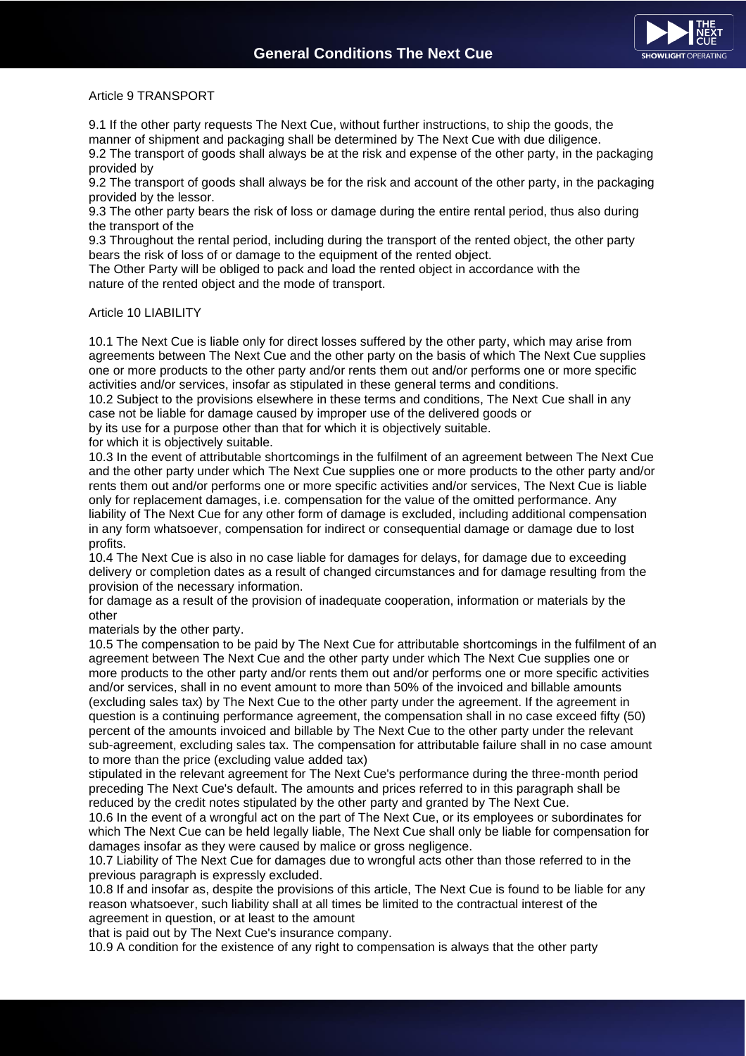

### Article 9 TRANSPORT

9.1 If the other party requests The Next Cue, without further instructions, to ship the goods, the manner of shipment and packaging shall be determined by The Next Cue with due diligence.

9.2 The transport of goods shall always be at the risk and expense of the other party, in the packaging provided by

9.2 The transport of goods shall always be for the risk and account of the other party, in the packaging provided by the lessor.

9.3 The other party bears the risk of loss or damage during the entire rental period, thus also during the transport of the

9.3 Throughout the rental period, including during the transport of the rented object, the other party bears the risk of loss of or damage to the equipment of the rented object.

The Other Party will be obliged to pack and load the rented object in accordance with the nature of the rented object and the mode of transport.

#### Article 10 LIABILITY

10.1 The Next Cue is liable only for direct losses suffered by the other party, which may arise from agreements between The Next Cue and the other party on the basis of which The Next Cue supplies one or more products to the other party and/or rents them out and/or performs one or more specific activities and/or services, insofar as stipulated in these general terms and conditions.

10.2 Subject to the provisions elsewhere in these terms and conditions, The Next Cue shall in any case not be liable for damage caused by improper use of the delivered goods or

by its use for a purpose other than that for which it is objectively suitable.

for which it is objectively suitable.

10.3 In the event of attributable shortcomings in the fulfilment of an agreement between The Next Cue and the other party under which The Next Cue supplies one or more products to the other party and/or rents them out and/or performs one or more specific activities and/or services, The Next Cue is liable only for replacement damages, i.e. compensation for the value of the omitted performance. Any liability of The Next Cue for any other form of damage is excluded, including additional compensation in any form whatsoever, compensation for indirect or consequential damage or damage due to lost profits.

10.4 The Next Cue is also in no case liable for damages for delays, for damage due to exceeding delivery or completion dates as a result of changed circumstances and for damage resulting from the provision of the necessary information.

for damage as a result of the provision of inadequate cooperation, information or materials by the other

materials by the other party.

10.5 The compensation to be paid by The Next Cue for attributable shortcomings in the fulfilment of an agreement between The Next Cue and the other party under which The Next Cue supplies one or more products to the other party and/or rents them out and/or performs one or more specific activities and/or services, shall in no event amount to more than 50% of the invoiced and billable amounts (excluding sales tax) by The Next Cue to the other party under the agreement. If the agreement in question is a continuing performance agreement, the compensation shall in no case exceed fifty (50) percent of the amounts invoiced and billable by The Next Cue to the other party under the relevant sub-agreement, excluding sales tax. The compensation for attributable failure shall in no case amount to more than the price (excluding value added tax)

stipulated in the relevant agreement for The Next Cue's performance during the three-month period preceding The Next Cue's default. The amounts and prices referred to in this paragraph shall be reduced by the credit notes stipulated by the other party and granted by The Next Cue.

10.6 In the event of a wrongful act on the part of The Next Cue, or its employees or subordinates for which The Next Cue can be held legally liable, The Next Cue shall only be liable for compensation for damages insofar as they were caused by malice or gross negligence.

10.7 Liability of The Next Cue for damages due to wrongful acts other than those referred to in the previous paragraph is expressly excluded.

10.8 If and insofar as, despite the provisions of this article, The Next Cue is found to be liable for any reason whatsoever, such liability shall at all times be limited to the contractual interest of the agreement in question, or at least to the amount

that is paid out by The Next Cue's insurance company.

10.9 A condition for the existence of any right to compensation is always that the other party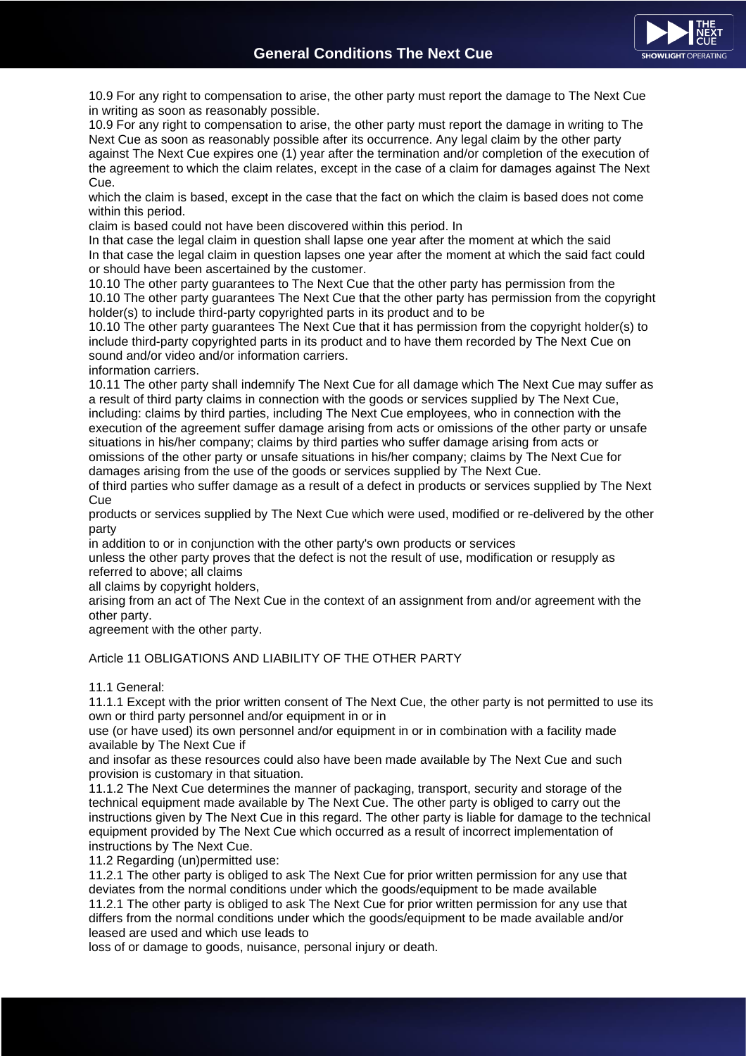

10.9 For any right to compensation to arise, the other party must report the damage to The Next Cue in writing as soon as reasonably possible.

10.9 For any right to compensation to arise, the other party must report the damage in writing to The Next Cue as soon as reasonably possible after its occurrence. Any legal claim by the other party against The Next Cue expires one (1) year after the termination and/or completion of the execution of the agreement to which the claim relates, except in the case of a claim for damages against The Next Cue.

which the claim is based, except in the case that the fact on which the claim is based does not come within this period.

claim is based could not have been discovered within this period. In

In that case the legal claim in question shall lapse one year after the moment at which the said In that case the legal claim in question lapses one year after the moment at which the said fact could or should have been ascertained by the customer.

10.10 The other party guarantees to The Next Cue that the other party has permission from the 10.10 The other party guarantees The Next Cue that the other party has permission from the copyright holder(s) to include third-party copyrighted parts in its product and to be

10.10 The other party guarantees The Next Cue that it has permission from the copyright holder(s) to include third-party copyrighted parts in its product and to have them recorded by The Next Cue on sound and/or video and/or information carriers.

information carriers.

10.11 The other party shall indemnify The Next Cue for all damage which The Next Cue may suffer as a result of third party claims in connection with the goods or services supplied by The Next Cue, including: claims by third parties, including The Next Cue employees, who in connection with the execution of the agreement suffer damage arising from acts or omissions of the other party or unsafe situations in his/her company; claims by third parties who suffer damage arising from acts or omissions of the other party or unsafe situations in his/her company; claims by The Next Cue for damages arising from the use of the goods or services supplied by The Next Cue.

of third parties who suffer damage as a result of a defect in products or services supplied by The Next **Cue** 

products or services supplied by The Next Cue which were used, modified or re-delivered by the other party

in addition to or in conjunction with the other party's own products or services

unless the other party proves that the defect is not the result of use, modification or resupply as referred to above; all claims

all claims by copyright holders,

arising from an act of The Next Cue in the context of an assignment from and/or agreement with the other party.

agreement with the other party.

# Article 11 OBLIGATIONS AND LIABILITY OF THE OTHER PARTY

11.1 General:

11.1.1 Except with the prior written consent of The Next Cue, the other party is not permitted to use its own or third party personnel and/or equipment in or in

use (or have used) its own personnel and/or equipment in or in combination with a facility made available by The Next Cue if

and insofar as these resources could also have been made available by The Next Cue and such provision is customary in that situation.

11.1.2 The Next Cue determines the manner of packaging, transport, security and storage of the technical equipment made available by The Next Cue. The other party is obliged to carry out the instructions given by The Next Cue in this regard. The other party is liable for damage to the technical equipment provided by The Next Cue which occurred as a result of incorrect implementation of instructions by The Next Cue.

11.2 Regarding (un)permitted use:

11.2.1 The other party is obliged to ask The Next Cue for prior written permission for any use that deviates from the normal conditions under which the goods/equipment to be made available 11.2.1 The other party is obliged to ask The Next Cue for prior written permission for any use that differs from the normal conditions under which the goods/equipment to be made available and/or leased are used and which use leads to

loss of or damage to goods, nuisance, personal injury or death.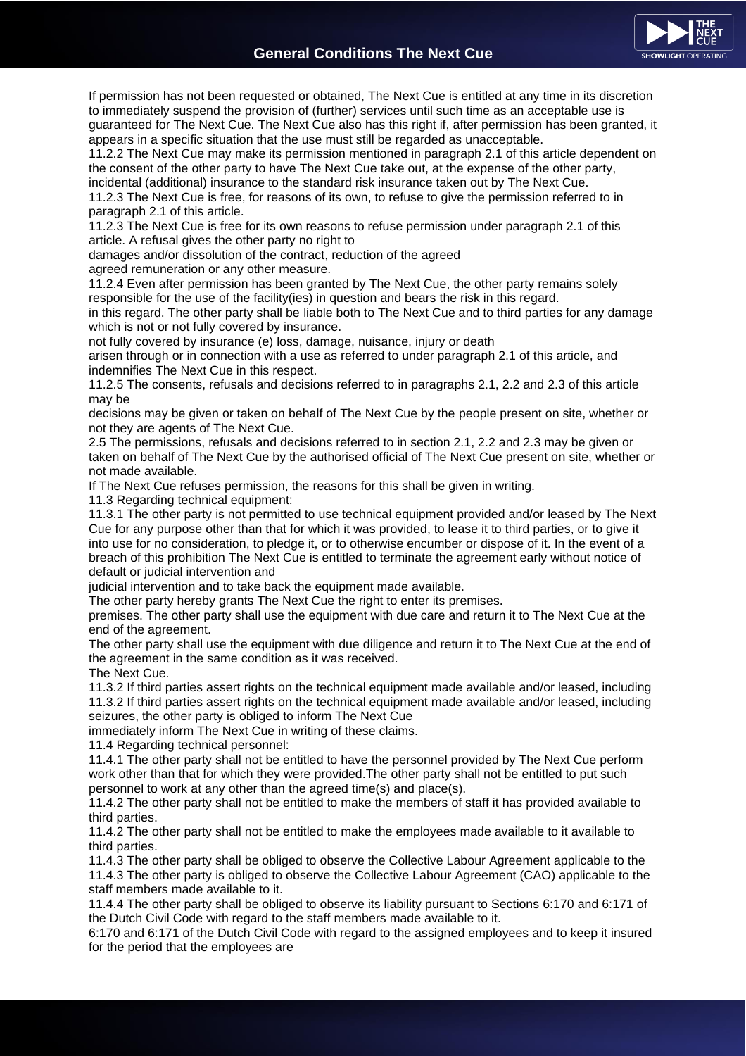

If permission has not been requested or obtained, The Next Cue is entitled at any time in its discretion to immediately suspend the provision of (further) services until such time as an acceptable use is guaranteed for The Next Cue. The Next Cue also has this right if, after permission has been granted, it appears in a specific situation that the use must still be regarded as unacceptable.

11.2.2 The Next Cue may make its permission mentioned in paragraph 2.1 of this article dependent on the consent of the other party to have The Next Cue take out, at the expense of the other party,

incidental (additional) insurance to the standard risk insurance taken out by The Next Cue. 11.2.3 The Next Cue is free, for reasons of its own, to refuse to give the permission referred to in paragraph 2.1 of this article.

11.2.3 The Next Cue is free for its own reasons to refuse permission under paragraph 2.1 of this article. A refusal gives the other party no right to

damages and/or dissolution of the contract, reduction of the agreed

agreed remuneration or any other measure.

11.2.4 Even after permission has been granted by The Next Cue, the other party remains solely responsible for the use of the facility(ies) in question and bears the risk in this regard.

in this regard. The other party shall be liable both to The Next Cue and to third parties for any damage which is not or not fully covered by insurance.

not fully covered by insurance (e) loss, damage, nuisance, injury or death

arisen through or in connection with a use as referred to under paragraph 2.1 of this article, and indemnifies The Next Cue in this respect.

11.2.5 The consents, refusals and decisions referred to in paragraphs 2.1, 2.2 and 2.3 of this article may be

decisions may be given or taken on behalf of The Next Cue by the people present on site, whether or not they are agents of The Next Cue.

2.5 The permissions, refusals and decisions referred to in section 2.1, 2.2 and 2.3 may be given or taken on behalf of The Next Cue by the authorised official of The Next Cue present on site, whether or not made available.

If The Next Cue refuses permission, the reasons for this shall be given in writing.

11.3 Regarding technical equipment:

11.3.1 The other party is not permitted to use technical equipment provided and/or leased by The Next Cue for any purpose other than that for which it was provided, to lease it to third parties, or to give it into use for no consideration, to pledge it, or to otherwise encumber or dispose of it. In the event of a breach of this prohibition The Next Cue is entitled to terminate the agreement early without notice of default or judicial intervention and

judicial intervention and to take back the equipment made available.

The other party hereby grants The Next Cue the right to enter its premises.

premises. The other party shall use the equipment with due care and return it to The Next Cue at the end of the agreement.

The other party shall use the equipment with due diligence and return it to The Next Cue at the end of the agreement in the same condition as it was received.

The Next Cue.

11.3.2 If third parties assert rights on the technical equipment made available and/or leased, including 11.3.2 If third parties assert rights on the technical equipment made available and/or leased, including seizures, the other party is obliged to inform The Next Cue

immediately inform The Next Cue in writing of these claims.

11.4 Regarding technical personnel:

11.4.1 The other party shall not be entitled to have the personnel provided by The Next Cue perform work other than that for which they were provided.The other party shall not be entitled to put such personnel to work at any other than the agreed time(s) and place(s).

11.4.2 The other party shall not be entitled to make the members of staff it has provided available to third parties.

11.4.2 The other party shall not be entitled to make the employees made available to it available to third parties.

11.4.3 The other party shall be obliged to observe the Collective Labour Agreement applicable to the 11.4.3 The other party is obliged to observe the Collective Labour Agreement (CAO) applicable to the staff members made available to it.

11.4.4 The other party shall be obliged to observe its liability pursuant to Sections 6:170 and 6:171 of the Dutch Civil Code with regard to the staff members made available to it.

6:170 and 6:171 of the Dutch Civil Code with regard to the assigned employees and to keep it insured for the period that the employees are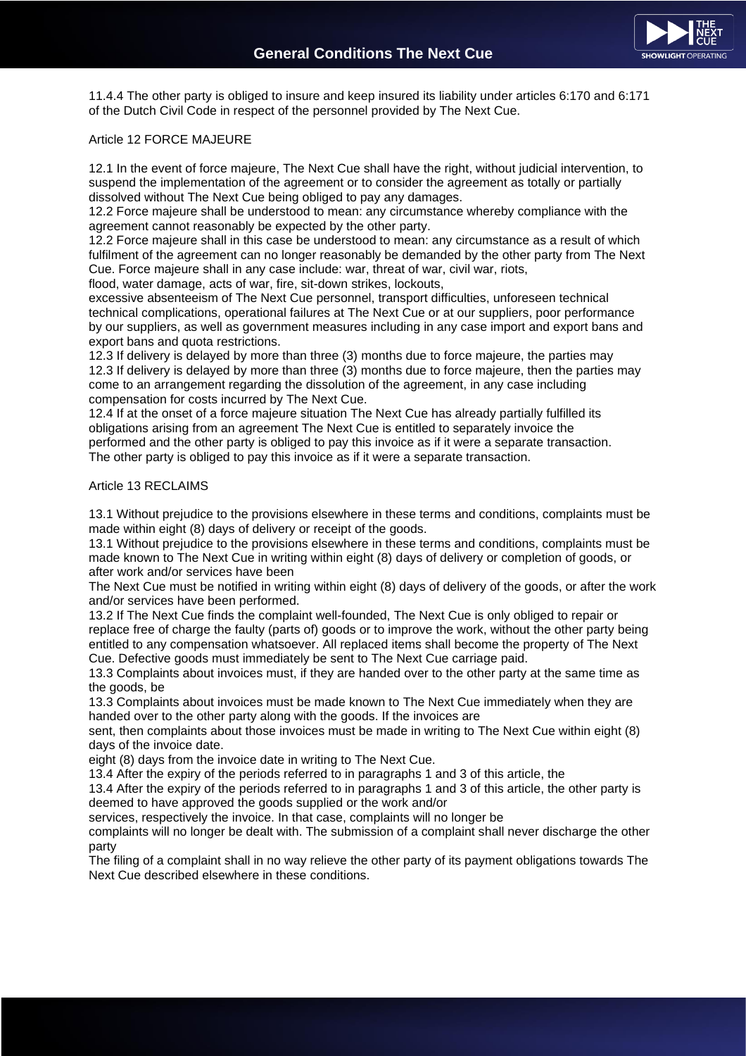

11.4.4 The other party is obliged to insure and keep insured its liability under articles 6:170 and 6:171 of the Dutch Civil Code in respect of the personnel provided by The Next Cue.

### Article 12 FORCE MAJEURE

12.1 In the event of force majeure, The Next Cue shall have the right, without judicial intervention, to suspend the implementation of the agreement or to consider the agreement as totally or partially dissolved without The Next Cue being obliged to pay any damages.

12.2 Force majeure shall be understood to mean: any circumstance whereby compliance with the agreement cannot reasonably be expected by the other party.

12.2 Force majeure shall in this case be understood to mean: any circumstance as a result of which fulfilment of the agreement can no longer reasonably be demanded by the other party from The Next Cue. Force majeure shall in any case include: war, threat of war, civil war, riots, flood, water damage, acts of war, fire, sit-down strikes, lockouts,

excessive absenteeism of The Next Cue personnel, transport difficulties, unforeseen technical technical complications, operational failures at The Next Cue or at our suppliers, poor performance

by our suppliers, as well as government measures including in any case import and export bans and export bans and quota restrictions.

12.3 If delivery is delayed by more than three (3) months due to force majeure, the parties may 12.3 If delivery is delayed by more than three (3) months due to force majeure, then the parties may come to an arrangement regarding the dissolution of the agreement, in any case including compensation for costs incurred by The Next Cue.

12.4 If at the onset of a force majeure situation The Next Cue has already partially fulfilled its obligations arising from an agreement The Next Cue is entitled to separately invoice the performed and the other party is obliged to pay this invoice as if it were a separate transaction. The other party is obliged to pay this invoice as if it were a separate transaction.

### Article 13 RECLAIMS

13.1 Without prejudice to the provisions elsewhere in these terms and conditions, complaints must be made within eight (8) days of delivery or receipt of the goods.

13.1 Without prejudice to the provisions elsewhere in these terms and conditions, complaints must be made known to The Next Cue in writing within eight (8) days of delivery or completion of goods, or after work and/or services have been

The Next Cue must be notified in writing within eight (8) days of delivery of the goods, or after the work and/or services have been performed.

13.2 If The Next Cue finds the complaint well-founded, The Next Cue is only obliged to repair or replace free of charge the faulty (parts of) goods or to improve the work, without the other party being entitled to any compensation whatsoever. All replaced items shall become the property of The Next Cue. Defective goods must immediately be sent to The Next Cue carriage paid.

13.3 Complaints about invoices must, if they are handed over to the other party at the same time as the goods, be

13.3 Complaints about invoices must be made known to The Next Cue immediately when they are handed over to the other party along with the goods. If the invoices are

sent, then complaints about those invoices must be made in writing to The Next Cue within eight (8) days of the invoice date.

eight (8) days from the invoice date in writing to The Next Cue.

13.4 After the expiry of the periods referred to in paragraphs 1 and 3 of this article, the

13.4 After the expiry of the periods referred to in paragraphs 1 and 3 of this article, the other party is deemed to have approved the goods supplied or the work and/or

services, respectively the invoice. In that case, complaints will no longer be

complaints will no longer be dealt with. The submission of a complaint shall never discharge the other party

The filing of a complaint shall in no way relieve the other party of its payment obligations towards The Next Cue described elsewhere in these conditions.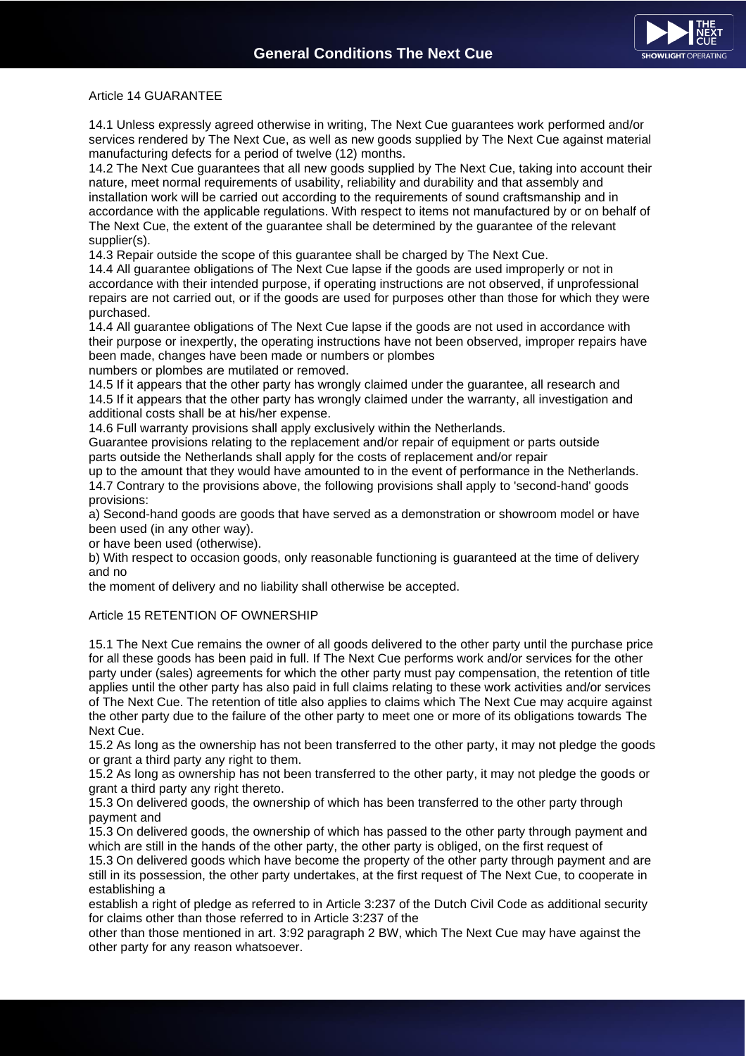

#### Article 14 GUARANTEE

14.1 Unless expressly agreed otherwise in writing, The Next Cue guarantees work performed and/or services rendered by The Next Cue, as well as new goods supplied by The Next Cue against material manufacturing defects for a period of twelve (12) months.

14.2 The Next Cue guarantees that all new goods supplied by The Next Cue, taking into account their nature, meet normal requirements of usability, reliability and durability and that assembly and installation work will be carried out according to the requirements of sound craftsmanship and in accordance with the applicable regulations. With respect to items not manufactured by or on behalf of The Next Cue, the extent of the guarantee shall be determined by the guarantee of the relevant supplier(s).

14.3 Repair outside the scope of this guarantee shall be charged by The Next Cue.

14.4 All guarantee obligations of The Next Cue lapse if the goods are used improperly or not in accordance with their intended purpose, if operating instructions are not observed, if unprofessional repairs are not carried out, or if the goods are used for purposes other than those for which they were purchased.

14.4 All guarantee obligations of The Next Cue lapse if the goods are not used in accordance with their purpose or inexpertly, the operating instructions have not been observed, improper repairs have been made, changes have been made or numbers or plombes

numbers or plombes are mutilated or removed.

14.5 If it appears that the other party has wrongly claimed under the guarantee, all research and 14.5 If it appears that the other party has wrongly claimed under the warranty, all investigation and additional costs shall be at his/her expense.

14.6 Full warranty provisions shall apply exclusively within the Netherlands.

Guarantee provisions relating to the replacement and/or repair of equipment or parts outside parts outside the Netherlands shall apply for the costs of replacement and/or repair

up to the amount that they would have amounted to in the event of performance in the Netherlands. 14.7 Contrary to the provisions above, the following provisions shall apply to 'second-hand' goods provisions:

a) Second-hand goods are goods that have served as a demonstration or showroom model or have been used (in any other way).

or have been used (otherwise).

b) With respect to occasion goods, only reasonable functioning is guaranteed at the time of delivery and no

the moment of delivery and no liability shall otherwise be accepted.

### Article 15 RETENTION OF OWNERSHIP

15.1 The Next Cue remains the owner of all goods delivered to the other party until the purchase price for all these goods has been paid in full. If The Next Cue performs work and/or services for the other party under (sales) agreements for which the other party must pay compensation, the retention of title applies until the other party has also paid in full claims relating to these work activities and/or services of The Next Cue. The retention of title also applies to claims which The Next Cue may acquire against the other party due to the failure of the other party to meet one or more of its obligations towards The Next Cue.

15.2 As long as the ownership has not been transferred to the other party, it may not pledge the goods or grant a third party any right to them.

15.2 As long as ownership has not been transferred to the other party, it may not pledge the goods or grant a third party any right thereto.

15.3 On delivered goods, the ownership of which has been transferred to the other party through payment and

15.3 On delivered goods, the ownership of which has passed to the other party through payment and which are still in the hands of the other party, the other party is obliged, on the first request of

15.3 On delivered goods which have become the property of the other party through payment and are still in its possession, the other party undertakes, at the first request of The Next Cue, to cooperate in establishing a

establish a right of pledge as referred to in Article 3:237 of the Dutch Civil Code as additional security for claims other than those referred to in Article 3:237 of the

other than those mentioned in art. 3:92 paragraph 2 BW, which The Next Cue may have against the other party for any reason whatsoever.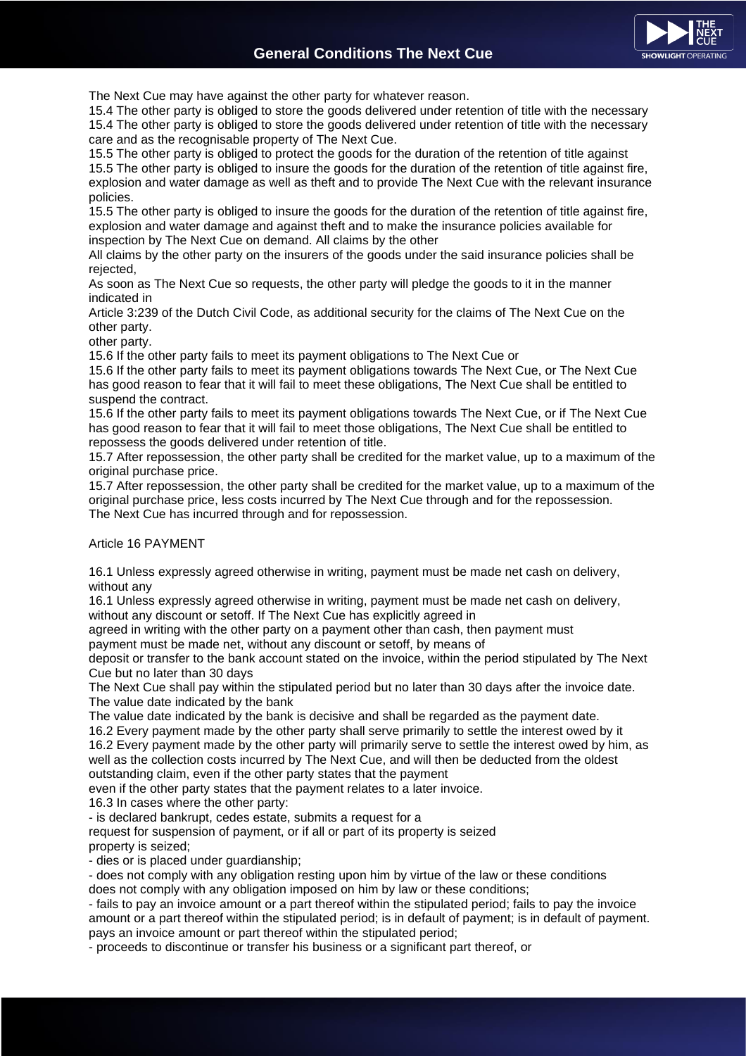

The Next Cue may have against the other party for whatever reason.

15.4 The other party is obliged to store the goods delivered under retention of title with the necessary 15.4 The other party is obliged to store the goods delivered under retention of title with the necessary care and as the recognisable property of The Next Cue.

15.5 The other party is obliged to protect the goods for the duration of the retention of title against 15.5 The other party is obliged to insure the goods for the duration of the retention of title against fire, explosion and water damage as well as theft and to provide The Next Cue with the relevant insurance policies.

15.5 The other party is obliged to insure the goods for the duration of the retention of title against fire, explosion and water damage and against theft and to make the insurance policies available for inspection by The Next Cue on demand. All claims by the other

All claims by the other party on the insurers of the goods under the said insurance policies shall be rejected,

As soon as The Next Cue so requests, the other party will pledge the goods to it in the manner indicated in

Article 3:239 of the Dutch Civil Code, as additional security for the claims of The Next Cue on the other party.

other party.

15.6 If the other party fails to meet its payment obligations to The Next Cue or

15.6 If the other party fails to meet its payment obligations towards The Next Cue, or The Next Cue has good reason to fear that it will fail to meet these obligations, The Next Cue shall be entitled to suspend the contract.

15.6 If the other party fails to meet its payment obligations towards The Next Cue, or if The Next Cue has good reason to fear that it will fail to meet those obligations, The Next Cue shall be entitled to repossess the goods delivered under retention of title.

15.7 After repossession, the other party shall be credited for the market value, up to a maximum of the original purchase price.

15.7 After repossession, the other party shall be credited for the market value, up to a maximum of the original purchase price, less costs incurred by The Next Cue through and for the repossession. The Next Cue has incurred through and for repossession.

# Article 16 PAYMENT

16.1 Unless expressly agreed otherwise in writing, payment must be made net cash on delivery, without any

16.1 Unless expressly agreed otherwise in writing, payment must be made net cash on delivery, without any discount or setoff. If The Next Cue has explicitly agreed in

agreed in writing with the other party on a payment other than cash, then payment must payment must be made net, without any discount or setoff, by means of

deposit or transfer to the bank account stated on the invoice, within the period stipulated by The Next Cue but no later than 30 days

The Next Cue shall pay within the stipulated period but no later than 30 days after the invoice date. The value date indicated by the bank

The value date indicated by the bank is decisive and shall be regarded as the payment date.

16.2 Every payment made by the other party shall serve primarily to settle the interest owed by it 16.2 Every payment made by the other party will primarily serve to settle the interest owed by him, as well as the collection costs incurred by The Next Cue, and will then be deducted from the oldest outstanding claim, even if the other party states that the payment

even if the other party states that the payment relates to a later invoice.

16.3 In cases where the other party:

- is declared bankrupt, cedes estate, submits a request for a

request for suspension of payment, or if all or part of its property is seized property is seized;

- dies or is placed under guardianship;

- does not comply with any obligation resting upon him by virtue of the law or these conditions does not comply with any obligation imposed on him by law or these conditions;

- fails to pay an invoice amount or a part thereof within the stipulated period; fails to pay the invoice amount or a part thereof within the stipulated period; is in default of payment; is in default of payment. pays an invoice amount or part thereof within the stipulated period;

- proceeds to discontinue or transfer his business or a significant part thereof, or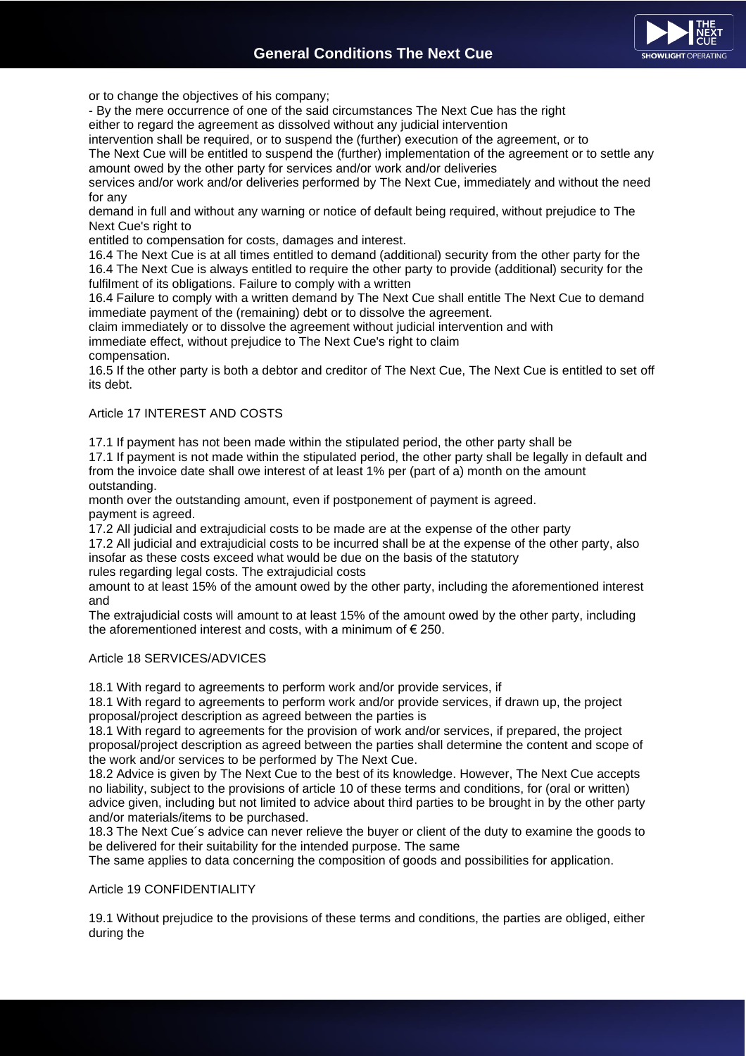

or to change the objectives of his company;

- By the mere occurrence of one of the said circumstances The Next Cue has the right

either to regard the agreement as dissolved without any judicial intervention

intervention shall be required, or to suspend the (further) execution of the agreement, or to The Next Cue will be entitled to suspend the (further) implementation of the agreement or to settle any amount owed by the other party for services and/or work and/or deliveries

services and/or work and/or deliveries performed by The Next Cue, immediately and without the need for any

demand in full and without any warning or notice of default being required, without prejudice to The Next Cue's right to

entitled to compensation for costs, damages and interest.

16.4 The Next Cue is at all times entitled to demand (additional) security from the other party for the 16.4 The Next Cue is always entitled to require the other party to provide (additional) security for the fulfilment of its obligations. Failure to comply with a written

16.4 Failure to comply with a written demand by The Next Cue shall entitle The Next Cue to demand immediate payment of the (remaining) debt or to dissolve the agreement.

claim immediately or to dissolve the agreement without judicial intervention and with

immediate effect, without prejudice to The Next Cue's right to claim compensation.

16.5 If the other party is both a debtor and creditor of The Next Cue, The Next Cue is entitled to set off its debt.

# Article 17 INTEREST AND COSTS

17.1 If payment has not been made within the stipulated period, the other party shall be

17.1 If payment is not made within the stipulated period, the other party shall be legally in default and from the invoice date shall owe interest of at least 1% per (part of a) month on the amount outstanding.

month over the outstanding amount, even if postponement of payment is agreed. payment is agreed.

17.2 All judicial and extrajudicial costs to be made are at the expense of the other party 17.2 All judicial and extrajudicial costs to be incurred shall be at the expense of the other party, also insofar as these costs exceed what would be due on the basis of the statutory

rules regarding legal costs. The extrajudicial costs

amount to at least 15% of the amount owed by the other party, including the aforementioned interest and

The extrajudicial costs will amount to at least 15% of the amount owed by the other party, including the aforementioned interest and costs, with a minimum of  $\epsilon$  250.

# Article 18 SERVICES/ADVICES

18.1 With regard to agreements to perform work and/or provide services, if

18.1 With regard to agreements to perform work and/or provide services, if drawn up, the project proposal/project description as agreed between the parties is

18.1 With regard to agreements for the provision of work and/or services, if prepared, the project proposal/project description as agreed between the parties shall determine the content and scope of the work and/or services to be performed by The Next Cue.

18.2 Advice is given by The Next Cue to the best of its knowledge. However, The Next Cue accepts no liability, subject to the provisions of article 10 of these terms and conditions, for (oral or written) advice given, including but not limited to advice about third parties to be brought in by the other party and/or materials/items to be purchased.

18.3 The Next Cue´s advice can never relieve the buyer or client of the duty to examine the goods to be delivered for their suitability for the intended purpose. The same

The same applies to data concerning the composition of goods and possibilities for application.

# Article 19 CONFIDENTIALITY

19.1 Without prejudice to the provisions of these terms and conditions, the parties are obliged, either during the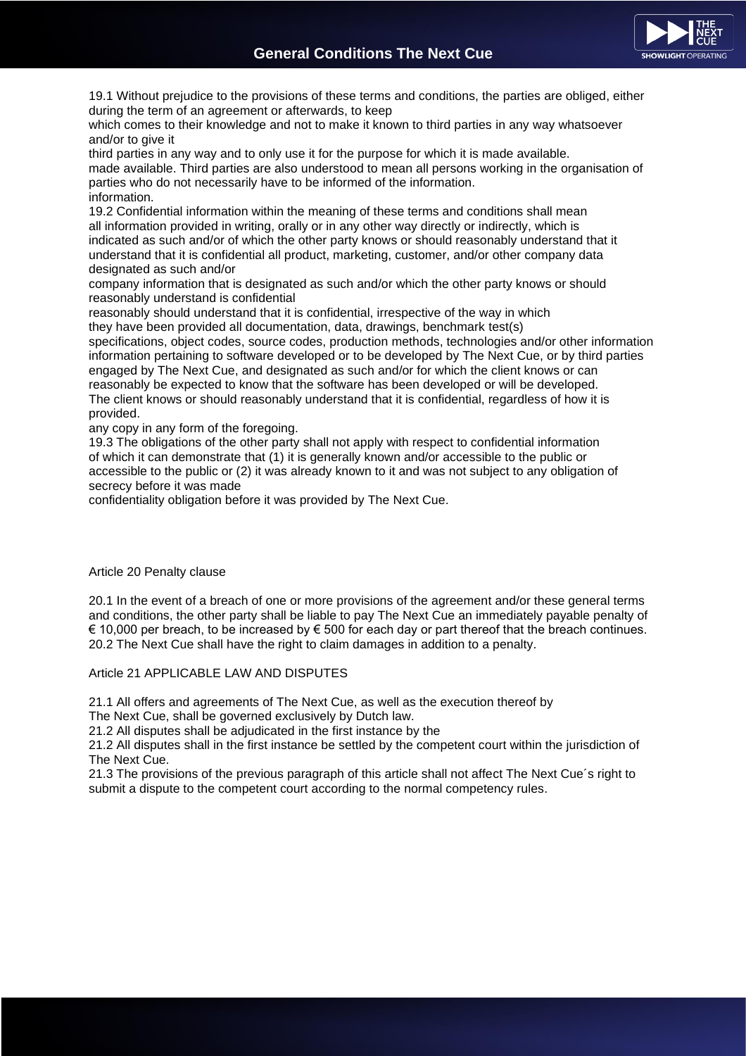

19.1 Without prejudice to the provisions of these terms and conditions, the parties are obliged, either during the term of an agreement or afterwards, to keep

which comes to their knowledge and not to make it known to third parties in any way whatsoever and/or to give it

third parties in any way and to only use it for the purpose for which it is made available. made available. Third parties are also understood to mean all persons working in the organisation of parties who do not necessarily have to be informed of the information. information.

19.2 Confidential information within the meaning of these terms and conditions shall mean all information provided in writing, orally or in any other way directly or indirectly, which is indicated as such and/or of which the other party knows or should reasonably understand that it understand that it is confidential all product, marketing, customer, and/or other company data designated as such and/or

company information that is designated as such and/or which the other party knows or should reasonably understand is confidential

reasonably should understand that it is confidential, irrespective of the way in which they have been provided all documentation, data, drawings, benchmark test(s)

specifications, object codes, source codes, production methods, technologies and/or other information information pertaining to software developed or to be developed by The Next Cue, or by third parties engaged by The Next Cue, and designated as such and/or for which the client knows or can reasonably be expected to know that the software has been developed or will be developed. The client knows or should reasonably understand that it is confidential, regardless of how it is provided.

any copy in any form of the foregoing.

19.3 The obligations of the other party shall not apply with respect to confidential information of which it can demonstrate that (1) it is generally known and/or accessible to the public or accessible to the public or (2) it was already known to it and was not subject to any obligation of secrecy before it was made

confidentiality obligation before it was provided by The Next Cue.

### Article 20 Penalty clause

20.1 In the event of a breach of one or more provisions of the agreement and/or these general terms and conditions, the other party shall be liable to pay The Next Cue an immediately payable penalty of  $€ 10,000$  per breach, to be increased by  $€ 500$  for each day or part thereof that the breach continues. 20.2 The Next Cue shall have the right to claim damages in addition to a penalty.

# Article 21 APPLICABLE LAW AND DISPUTES

21.1 All offers and agreements of The Next Cue, as well as the execution thereof by

The Next Cue, shall be governed exclusively by Dutch law.

21.2 All disputes shall be adjudicated in the first instance by the

21.2 All disputes shall in the first instance be settled by the competent court within the jurisdiction of The Next Cue.

21.3 The provisions of the previous paragraph of this article shall not affect The Next Cue´s right to submit a dispute to the competent court according to the normal competency rules.